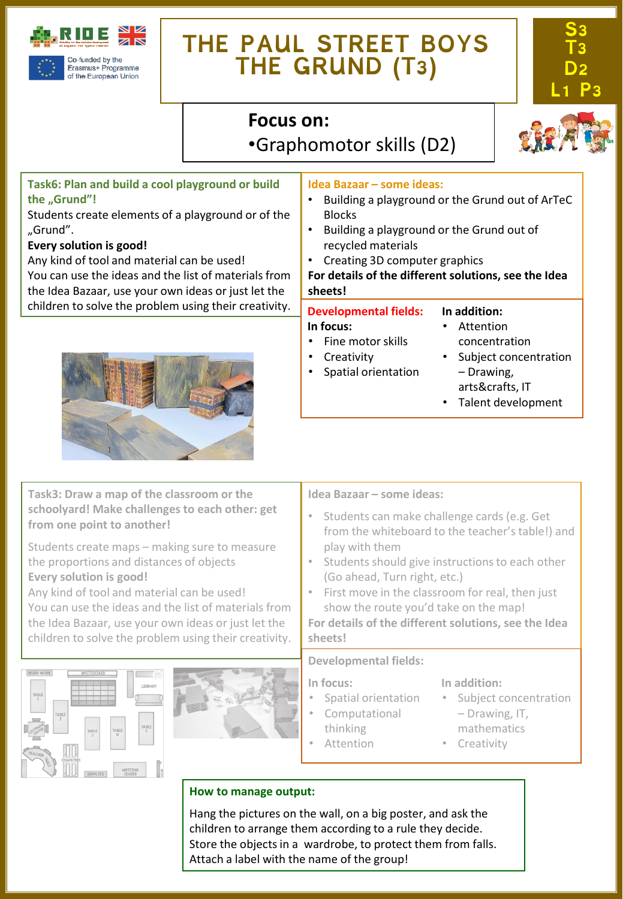

# **THE PAUL STREET BOYS THE GRUND (T3)**



# **Focus on:**  •Graphomotor skills (D2)



# **Task6: Plan and build a cool playground or build the "Grund"!**

Students create elements of a playground or of the "Grund".

### **Every solution is good!**

Any kind of tool and material can be used! You can use the ideas and the list of materials from the Idea Bazaar, use your own ideas or just let the children to solve the problem using their creativity.



#### **Idea Bazaar – some ideas:**

- Building a playground or the Grund out of ArTeC Blocks
- Building a playground or the Grund out of recycled materials
- Creating 3D computer graphics
- **For details of the different solutions, see the Idea sheets!**

### **Developmental fields:**

#### **In addition:** • Attention

• Fine motor skills

**In focus:**

- concentration
- **Creativity** • Spatial orientation
- Subject concentration – Drawing, arts&crafts, IT
- Talent development

**Task3: Draw a map of the classroom or the schoolyard! Make challenges to each other: get from one point to another!**

Students create maps – making sure to measure the proportions and distances of objects **Every solution is good!**

Any kind of tool and material can be used! You can use the ideas and the list of materials from the Idea Bazaar, use your own ideas or just let the children to solve the problem using their creativity.





#### **Idea Bazaar – some ideas:**

- Students can make challenge cards (e.g. Get from the whiteboard to the teacher's table!) and play with them
- Students should give instructions to each other (Go ahead, Turn right, etc.)
- First move in the classroom for real, then just show the route you'd take on the map!

**For details of the different solutions, see the Idea sheets!**

#### **Developmental fields:**

**In focus:**

- Spatial orientation
- Computational
- thinking
	- **Attention**

#### **In addition:**

- Subject concentration – Drawing, IT,
- mathematics
- Creativity

# **How to manage output:**

Hang the pictures on the wall, on a big poster, and ask the children to arrange them according to a rule they decide. Store the objects in a wardrobe, to protect them from falls. Attach a label with the name of the group!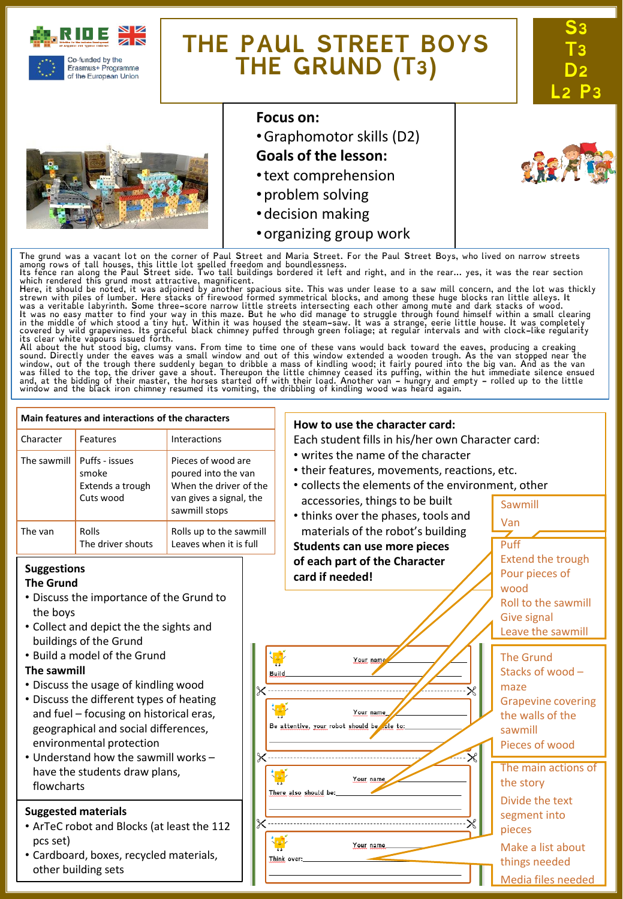

of the European Union

# **THE PAUL STREET BOYS THE GRUND (T3)**





### **Focus on:**

•Graphomotor skills (D2)

# **Goals of the lesson:**

- •text comprehension
- •problem solving
- •decision making
- •organizing group work

The grund was a vacant lot on the corner of Paul Street and Maria Street. For the Paul Street Boys, who lived on narrow streets<br>among rows of tall houses, this little lot spelled freedom and boundlessness.<br>Its fence ran al

which rendered this grund most attractive, magnificent.<br>Here, it should be noted, it was adjoined by another spacious site. This was under lease to a saw mill concern, and the lot was thickly<br>Here, it should be noted, it w

sound. Directly under the eaves was a small window and out of this window extended a wooden trough. As the van stopped near the<br>window, out of the trough there suddenly began to dribble a mass of kindling wood; it fairly p

#### **Main features and interactions of the characters How to use the character card:** Character Features Interactions Each student fills in his/her own Character card: • writes the name of the character The sawmill  $\vert$  Puffs - issues Pieces of wood are • their features, movements, reactions, etc. smoke poured into the van • collects the elements of the environment, other Extends a trough When the driver of the Cuts wood van gives a signal, the accessories, things to be built Sawmill sawmill stops • thinks over the phases, tools and Van materials of the robot's building The van Rolls Rolls up to the sawmill The driver shouts Leaves when it is full Puff **Students can use more pieces** Extend the trough **of each part of the Character Suggestions** Pour pieces of **card if needed! The Grund** wood • Discuss the importance of the Grund to Roll to the sawmill the boys Give signal • Collect and depict the the sights and Leave the sawmill buildings of the Grund • Build a model of the Grund The Grund Your nam **The sawmill** Stacks of wood – **Build** • Discuss the usage of kindling wood maze • Discuss the different types of heating Grapevine covering and fuel – focusing on historical eras, Your name the walls of the Be attentive, your robot should be ole to: geographical and social differences, sawmill environmental protection Pieces of wood • Understand how the sawmill works – The main actions of have the students draw plans, Your name the story flowcharts There also should be: Divide the text **Suggested materials** segment into • ArTeC robot and Blocks (at least the 112 pieces pcs set) Your name Make a list about • Cardboard, boxes, recycled materials, Think over: things needed other building sets Media files needed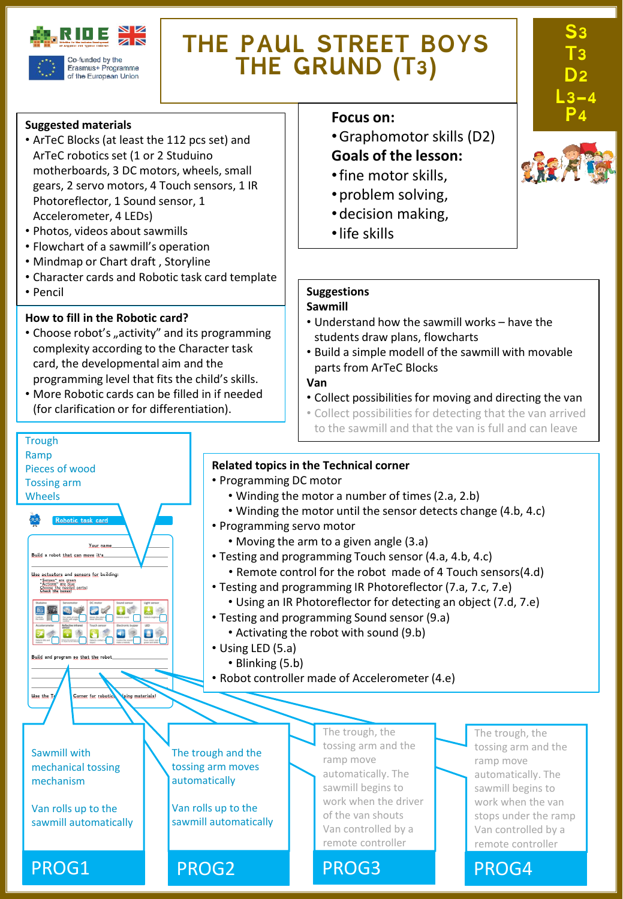

Erasmus+ Programme of the European Union

# **THE PAUL STREET BOYS THE GRUND (T3)**

#### **Suggested materials**

- ArTeC Blocks (at least the 112 pcs set) and ArTeC robotics set (1 or 2 Studuino motherboards, 3 DC motors, wheels, small gears, 2 servo motors, 4 Touch sensors, 1 IR Photoreflector, 1 Sound sensor, 1 Accelerometer, 4 LEDs)
- Photos, videos about sawmills
- Flowchart of a sawmill's operation
- Mindmap or Chart draft , Storyline
- Character cards and Robotic task card template
- Pencil

**Trough** Ramp

Pieces of wood Tossing arm Wheels

Build a robot that can move it's Use actuators and sensors for building "Senses" are green<br>"Actions" are blue<br>Chace the hovest parts!

国王国史区

 $\bullet$ 

Use the I

Your ni

 $\mathbf{E}$ 

Corner for robotic

ing materials

### **How to fill in the Robotic card?**

- Choose robot's "activity" and its programming complexity according to the Character task card, the developmental aim and the programming level that fits the child's skills.
- More Robotic cards can be filled in if needed (for clarification or for differentiation).

#### **Focus** on:

- •Graphomotor skills (D2) **Goals of the lesson:**
- •fine motor skills,
- •problem solving,
- •decision making,
- •life skills

## **Suggestions**

#### **Sawmill**

- Understand how the sawmill works have the students draw plans, flowcharts
- Build a simple modell of the sawmill with movable parts from ArTeC Blocks

#### **Van**

- Collect possibilities for moving and directing the van
- Collect possibilities for detecting that the van arrived to the sawmill and that the van is full and can leave

#### **Related topics in the Technical corner**

- Programming DC motor
	- Winding the motor a number of times(2.a, 2.b)
	- Winding the motor until the sensor detects change (4.b, 4.c)
- Programming servo motor
	- Moving the arm to a given angle (3.a)
- Testing and programming Touch sensor (4.a, 4.b, 4.c)
	- Remote control for the robot made of 4 Touch sensors(4.d)
- Testing and programming IR Photoreflector (7.a, 7.c, 7.e)

The trough, the tossing arm and the

ramp move automatically. The sawmill begins to work when the driver of the van shouts Van controlled by a remote controller

- Using an IR Photoreflector for detecting an object (7.d, 7.e)
- Testing and programming Sound sensor (9.a)
	- Activating the robot with sound (9.b)
- Using LED (5.a)

The trough and the tossing arm moves automatically

Van rolls up to the sawmill automatically

- Blinking (5.b)
- Robot controller made of Accelerometer (4.e)

Sawmill with mechanical tossing mechanism

Van rolls up to the sawmill automatically

PROG1 PROG2 PROG3 PROG4



**S3** 

**T3 D2** 

**L3-4** 

The trough, the tossing arm and the ramp move automatically. The sawmill begins to work when the van stops under the ramp Van controlled by a remote controller